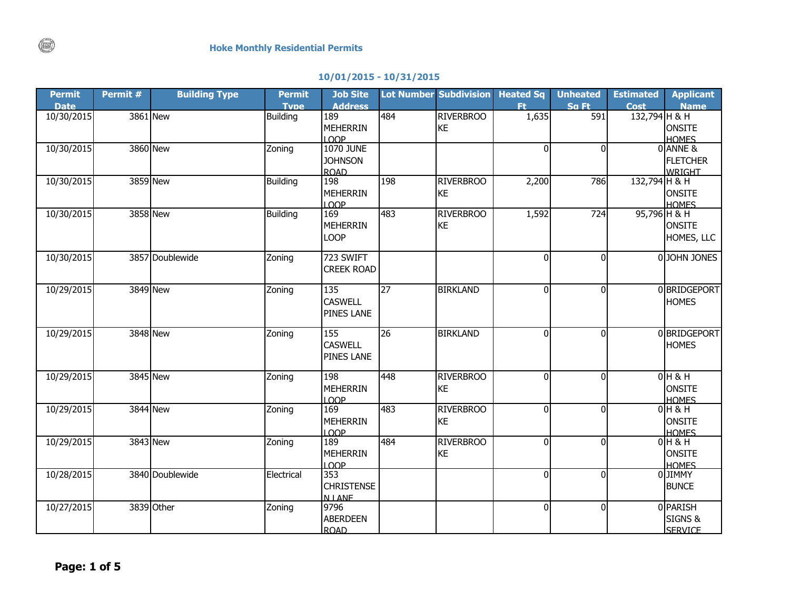## **10/01/2015 - 10/31/2015**

| <b>Permit</b><br><b>Date</b> | Permit # | <b>Building Type</b> | <b>Permit</b><br><b>Type</b> | <b>Job Site</b><br><b>Address</b> |                 | Lot Number Subdivision Heated Sq | Ft.            | <b>Unheated</b><br>Sa Ft | <b>Estimated</b><br><b>Cost</b> | <b>Applicant</b><br><b>Name</b> |
|------------------------------|----------|----------------------|------------------------------|-----------------------------------|-----------------|----------------------------------|----------------|--------------------------|---------------------------------|---------------------------------|
| 10/30/2015                   |          | 3861 New             | <b>Building</b>              | 189                               | 484             | <b>RIVERBROO</b>                 | 1,635          | $\overline{591}$         | 132,794 H & H                   |                                 |
|                              |          |                      |                              | <b>MEHERRIN</b>                   |                 | <b>KE</b>                        |                |                          |                                 | <b>ONSITE</b>                   |
|                              |          |                      |                              | <b>LOOP</b>                       |                 |                                  |                |                          |                                 | <b>HOMES</b>                    |
| 10/30/2015                   |          | 3860 New             | Zoning                       | <b>1070 JUNE</b>                  |                 |                                  | 0              | $\Omega$                 |                                 | 0 ANNE &                        |
|                              |          |                      |                              | <b>JOHNSON</b>                    |                 |                                  |                |                          |                                 | <b>FLETCHER</b>                 |
|                              |          |                      |                              | <b>ROAD</b>                       |                 |                                  |                |                          |                                 | <b>WRIGHT</b>                   |
| 10/30/2015                   |          | 3859 New             | <b>Building</b>              | 198                               | 198             | <b>RIVERBROO</b>                 | 2,200          | 786                      | 132,794 H & H                   |                                 |
|                              |          |                      |                              | <b>MEHERRIN</b>                   |                 | KE                               |                |                          |                                 | <b>ONSITE</b>                   |
|                              |          | 3858 New             | <b>Building</b>              | LOOP<br>169                       | 483             | <b>RIVERBROO</b>                 |                |                          | 95,796 H & H                    | <b>HOMES</b>                    |
| 10/30/2015                   |          |                      |                              | <b>MEHERRIN</b>                   |                 | KE                               | 1,592          | 724                      |                                 | <b>ONSITE</b>                   |
|                              |          |                      |                              |                                   |                 |                                  |                |                          |                                 |                                 |
|                              |          |                      |                              | <b>LOOP</b>                       |                 |                                  |                |                          |                                 | HOMES, LLC                      |
| 10/30/2015                   |          | 3857 Doublewide      | Zoning                       | 723 SWIFT                         |                 |                                  | $\overline{0}$ | $\Omega$                 |                                 | 0 JOHN JONES                    |
|                              |          |                      |                              | <b>CREEK ROAD</b>                 |                 |                                  |                |                          |                                 |                                 |
|                              |          |                      |                              |                                   |                 |                                  |                |                          |                                 |                                 |
| 10/29/2015                   |          | 3849 New             | Zoning                       | 135                               | $\overline{27}$ | <b>BIRKLAND</b>                  | $\overline{0}$ | $\Omega$                 |                                 | 0 BRIDGEPORT                    |
|                              |          |                      |                              | <b>CASWELL</b>                    |                 |                                  |                |                          |                                 | <b>HOMES</b>                    |
|                              |          |                      |                              | PINES LANE                        |                 |                                  |                |                          |                                 |                                 |
| 10/29/2015                   |          | 3848 New             | Zoning                       | 155                               | $\overline{26}$ | <b>BIRKLAND</b>                  | $\Omega$       | $\Omega$                 |                                 | 0 BRIDGEPORT                    |
|                              |          |                      |                              | <b>CASWELL</b>                    |                 |                                  |                |                          |                                 | <b>HOMES</b>                    |
|                              |          |                      |                              | PINES LANE                        |                 |                                  |                |                          |                                 |                                 |
|                              |          | 3845 New             |                              | 198                               | 448             | <b>RIVERBROO</b>                 | $\mathbf 0$    | $\Omega$                 |                                 | $0H$ & H                        |
| 10/29/2015                   |          |                      | Zoning                       | <b>MEHERRIN</b>                   |                 | KE                               |                |                          |                                 | ONSITE                          |
|                              |          |                      |                              | LOOP                              |                 |                                  |                |                          |                                 | <b>HOMES</b>                    |
| 10/29/2015                   |          | 3844 New             | Zoning                       | 169                               | 483             | <b>RIVERBROO</b>                 | $\overline{0}$ | $\Omega$                 |                                 | $0H$ & H                        |
|                              |          |                      |                              | <b>MEHERRIN</b>                   |                 | KE                               |                |                          |                                 | <b>ONSITE</b>                   |
|                              |          |                      |                              | LOOP                              |                 |                                  |                |                          |                                 | <b>HOMES</b>                    |
| 10/29/2015                   |          | 3843 New             | Zoning                       | 189                               | 484             | <b>RIVERBROO</b>                 | $\overline{0}$ | $\Omega$                 |                                 | $0$ H & H                       |
|                              |          |                      |                              | <b>MEHERRIN</b>                   |                 | KE                               |                |                          |                                 | <b>ONSITE</b>                   |
|                              |          |                      |                              | LOOP                              |                 |                                  |                |                          |                                 | <b>HOMES</b>                    |
| 10/28/2015                   |          | 3840 Doublewide      | Electrical                   | 353                               |                 |                                  | $\Omega$       | $\Omega$                 |                                 | 0 JIMMY                         |
|                              |          |                      |                              | <b>CHRISTENSE</b>                 |                 |                                  |                |                          |                                 | <b>BUNCE</b>                    |
|                              |          | 3839 Other           |                              | <b>N LANF</b><br>9796             |                 |                                  |                | $\Omega$                 |                                 | 0 PARISH                        |
| 10/27/2015                   |          |                      | Zoning                       |                                   |                 |                                  | $\overline{0}$ |                          |                                 |                                 |
|                              |          |                      |                              | <b>ABERDEEN</b><br><b>ROAD</b>    |                 |                                  |                |                          |                                 | SIGNS &<br><b>SFRVICE</b>       |
|                              |          |                      |                              |                                   |                 |                                  |                |                          |                                 |                                 |

 $\binom{1}{k}$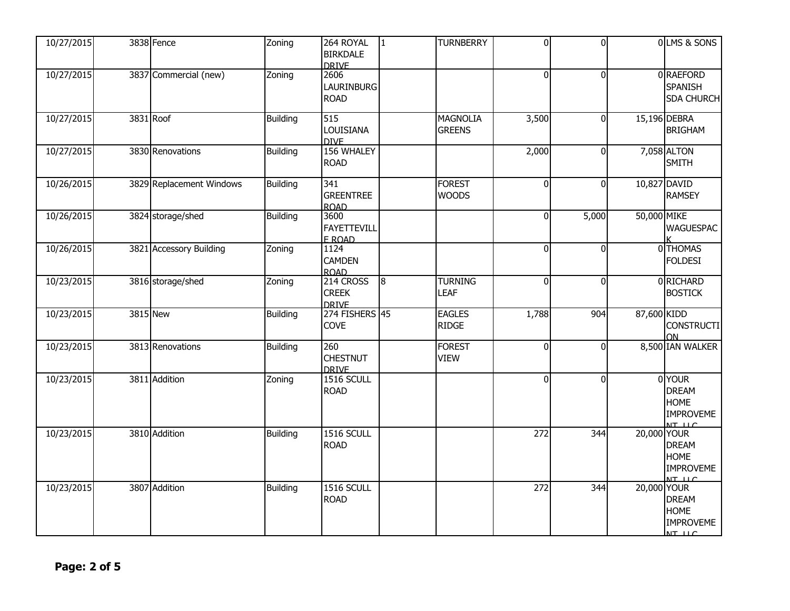| 10/27/2015 | 3838 Fence               | Zoning          | 264 ROYAL<br><b>BIRKDALE</b><br><b>DRIVE</b> | $\overline{1}$ | <b>TURNBERRY</b>                 | $\Omega$         | $\overline{0}$ |             | 0 LMS & SONS                                                           |
|------------|--------------------------|-----------------|----------------------------------------------|----------------|----------------------------------|------------------|----------------|-------------|------------------------------------------------------------------------|
| 10/27/2015 | 3837 Commercial (new)    | Zoning          | 2606<br><b>LAURINBURG</b><br><b>ROAD</b>     |                |                                  | $\Omega$         | $\Omega$       |             | 0 RAEFORD<br>SPANISH<br><b>SDA CHURCH</b>                              |
| 10/27/2015 | 3831 Roof                | <b>Building</b> | 515<br><b>LOUISIANA</b><br><b>DIVE</b>       |                | <b>MAGNOLIA</b><br><b>GREENS</b> | 3,500            | $\Omega$       |             | 15,196 DEBRA<br><b>BRIGHAM</b>                                         |
| 10/27/2015 | 3830 Renovations         | <b>Building</b> | 156 WHALEY<br><b>ROAD</b>                    |                |                                  | 2,000            | $\Omega$       |             | 7,058 ALTON<br><b>SMITH</b>                                            |
| 10/26/2015 | 3829 Replacement Windows | <b>Building</b> | 341<br><b>GREENTREE</b><br><b>ROAD</b>       |                | <b>FOREST</b><br><b>WOODS</b>    | $\overline{0}$   | $\Omega$       |             | 10,827 DAVID<br><b>RAMSEY</b>                                          |
| 10/26/2015 | 3824 storage/shed        | <b>Building</b> | 3600<br><b>FAYETTEVILL</b><br>F ROAD         |                |                                  | $\mathbf{0}$     | 5,000          | 50,000 MIKE | <b>WAGUESPAC</b>                                                       |
| 10/26/2015 | 3821 Accessory Building  | Zoning          | 1124<br><b>CAMDEN</b><br><b>ROAD</b>         |                |                                  | $\mathbf 0$      | $\Omega$       |             | 0 THOMAS<br><b>FOLDESI</b>                                             |
| 10/23/2015 | 3816 storage/shed        | Zoning          | 214 CROSS<br><b>CREEK</b><br><b>DRIVE</b>    | $\overline{8}$ | <b>TURNING</b><br><b>LEAF</b>    | $\overline{0}$   | $\Omega$       |             | 0 RICHARD<br><b>BOSTICK</b>                                            |
| 10/23/2015 | 3815 New                 | <b>Building</b> | 274 FISHERS 45<br><b>COVE</b>                |                | <b>EAGLES</b><br><b>RIDGE</b>    | 1,788            | 904            | 87,600 KIDD | <b>CONSTRUCTI</b><br>ΩN.                                               |
| 10/23/2015 | 3813 Renovations         | <b>Building</b> | 260<br><b>CHESTNUT</b><br><b>DRIVE</b>       |                | <b>FOREST</b><br><b>VIEW</b>     | $\overline{0}$   | $\Omega$       |             | 8,500 IAN WALKER                                                       |
| 10/23/2015 | 3811 Addition            | Zoning          | <b>1516 SCULL</b><br><b>ROAD</b>             |                |                                  | $\Omega$         | $\Omega$       |             | 0YOUR<br><b>DREAM</b><br><b>HOME</b><br><b>IMPROVEME</b><br>$NT$ $11C$ |
| 10/23/2015 | 3810 Addition            | <b>Building</b> | 1516 SCULL<br><b>ROAD</b>                    |                |                                  | 272              | 344            | 20,000 YOUR | <b>DREAM</b><br><b>HOME</b><br><b>IMPROVEME</b><br>$NT$ $\cup$ $C$     |
| 10/23/2015 | 3807 Addition            | <b>Building</b> | <b>1516 SCULL</b><br><b>ROAD</b>             |                |                                  | $\overline{272}$ | 344            | 20,000 YOUR | <b>DREAM</b><br><b>HOME</b><br><b>IMPROVEME</b><br>$NT$ $\cup$ $C$     |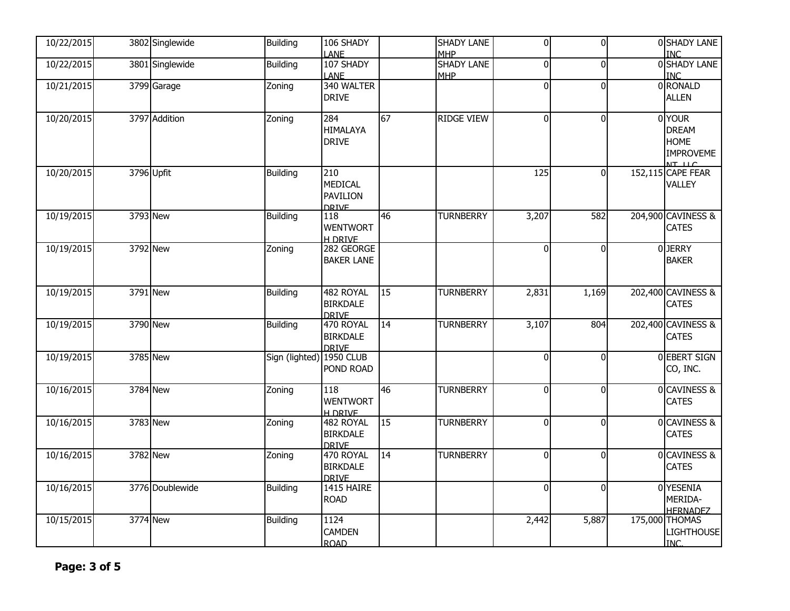| 10/22/2015 | 3802 Singlewide | <b>Building</b>          | 106 SHADY                                                |    | SHADY LANE                                    | $\overline{0}$   | $\mathbf{0}$ | 0 SHADY LANE                                                                 |
|------------|-----------------|--------------------------|----------------------------------------------------------|----|-----------------------------------------------|------------------|--------------|------------------------------------------------------------------------------|
| 10/22/2015 | 3801 Singlewide | <b>Building</b>          | <b>LANE</b><br>107 SHADY<br><b>LANE</b>                  |    | <b>MHP</b><br><b>SHADY LANE</b><br><b>MHP</b> | $\overline{0}$   | $\Omega$     | <b>INC</b><br>0 SHADY LANE<br><b>INC</b>                                     |
| 10/21/2015 | 3799 Garage     | Zoning                   | 340 WALTER<br><b>DRIVE</b>                               |    |                                               | $\overline{0}$   | $\Omega$     | 0 RONALD<br><b>ALLEN</b>                                                     |
| 10/20/2015 | 3797 Addition   | Zoning                   | 284<br><b>HIMALAYA</b><br><b>DRIVE</b>                   | 67 | <b>RIDGE VIEW</b>                             | $\overline{0}$   | $\Omega$     | 0 YOUR<br><b>DREAM</b><br><b>HOME</b><br><b>IMPROVEME</b><br>$NT$ $\cup$ $C$ |
| 10/20/2015 | 3796 Upfit      | Building                 | 210<br><b>MEDICAL</b><br><b>PAVILION</b><br><b>DRIVE</b> |    |                                               | $\overline{125}$ | $\Omega$     | 152,115 CAPE FEAR<br><b>VALLEY</b>                                           |
| 10/19/2015 | 3793 New        | <b>Building</b>          | 118<br><b>WENTWORT</b><br><b>H DRIVE</b>                 | 46 | <b>TURNBERRY</b>                              | 3,207            | 582          | 204,900 CAVINESS &<br><b>CATES</b>                                           |
| 10/19/2015 | 3792 New        | Zoning                   | 282 GEORGE<br><b>BAKER LANE</b>                          |    |                                               | $\overline{0}$   | $\Omega$     | 0JERRY<br><b>BAKER</b>                                                       |
| 10/19/2015 | 3791 New        | <b>Building</b>          | 482 ROYAL<br><b>BIRKDALE</b><br><b>DRIVE</b>             | 15 | <b>TURNBERRY</b>                              | 2,831            | 1,169        | 202,400 CAVINESS &<br><b>CATES</b>                                           |
| 10/19/2015 | 3790 New        | <b>Building</b>          | 470 ROYAL<br><b>BIRKDALE</b><br><b>DRIVE</b>             | 14 | <b>TURNBERRY</b>                              | 3,107            | 804          | 202,400 CAVINESS &<br><b>CATES</b>                                           |
| 10/19/2015 | 3785 New        | Sign (lighted) 1950 CLUB | POND ROAD                                                |    |                                               | $\overline{0}$   | $\Omega$     | <b>OEBERT SIGN</b><br>CO, INC.                                               |
| 10/16/2015 | 3784 New        | Zoning                   | 118<br><b>WENTWORT</b><br><b>H DRIVE</b>                 | 46 | <b>TURNBERRY</b>                              | $\overline{0}$   | $\Omega$     | 0 CAVINESS &<br><b>CATES</b>                                                 |
| 10/16/2015 | 3783 New        | Zoning                   | 482 ROYAL<br><b>BIRKDALE</b><br><b>DRIVE</b>             | 15 | <b>TURNBERRY</b>                              | $\overline{0}$   | $\Omega$     | 0 CAVINESS &<br><b>CATES</b>                                                 |
| 10/16/2015 | 3782 New        | Zoning                   | 470 ROYAL<br><b>BIRKDALE</b><br><b>DRIVE</b>             | 14 | <b>TURNBERRY</b>                              | $\overline{0}$   | $\Omega$     | 0 CAVINESS &<br><b>CATES</b>                                                 |
| 10/16/2015 | 3776 Doublewide | <b>Building</b>          | 1415 HAIRE<br><b>ROAD</b>                                |    |                                               | $\overline{0}$   | $\mathbf{0}$ | 0 YESENIA<br>MERIDA-<br><b>HERNADEZ</b>                                      |
| 10/15/2015 | 3774 New        | <b>Building</b>          | 1124<br><b>CAMDEN</b><br><b>ROAD</b>                     |    |                                               | 2,442            | 5,887        | 175,000 THOMAS<br>LIGHTHOUSE<br><b>INC</b>                                   |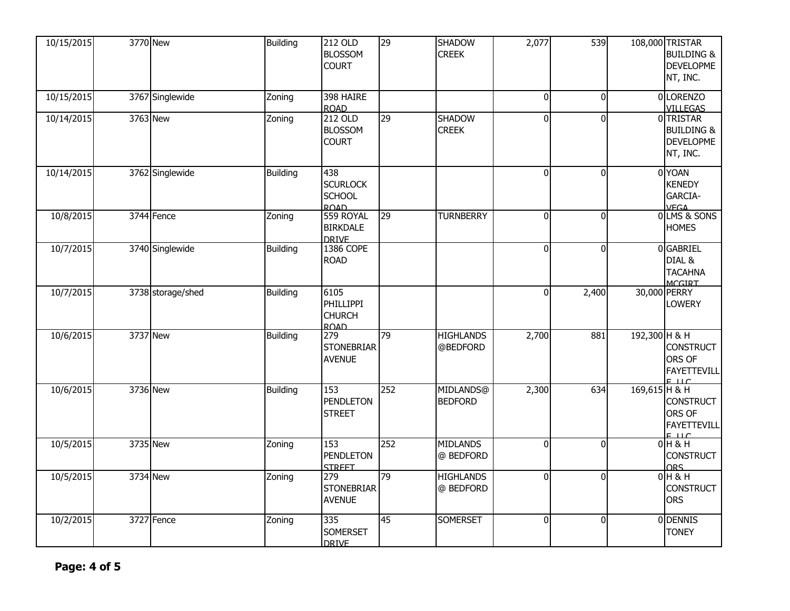| 10/15/2015 | 3770 New          | <b>Building</b> | 212 OLD<br><b>BLOSSOM</b><br><b>COURT</b>              | 29  | <b>SHADOW</b><br><b>CREEK</b> | 2,077          | 539      | 108,000 TRISTAR<br><b>BUILDING &amp;</b><br><b>DEVELOPME</b><br>NT, INC.           |
|------------|-------------------|-----------------|--------------------------------------------------------|-----|-------------------------------|----------------|----------|------------------------------------------------------------------------------------|
| 10/15/2015 | 3767 Singlewide   | Zoning          | 398 HAIRE<br><b>ROAD</b>                               |     |                               | $\overline{0}$ | $\Omega$ | 0 LORENZO<br><b>VILLEGAS</b>                                                       |
| 10/14/2015 | 3763 New          | Zoning          | 212 OLD<br><b>BLOSSOM</b><br><b>COURT</b>              | 29  | <b>SHADOW</b><br><b>CREEK</b> | $\overline{0}$ | $\Omega$ | 0 TRISTAR<br><b>BUILDING &amp;</b><br><b>DEVELOPME</b><br>NT, INC.                 |
| 10/14/2015 | 3762 Singlewide   | <b>Building</b> | 438<br><b>SCURLOCK</b><br><b>SCHOOL</b><br><b>ROAD</b> |     |                               | $\overline{0}$ | $\Omega$ | 0 YOAN<br><b>KENEDY</b><br>GARCIA-<br><b>VEGA</b>                                  |
| 10/8/2015  | 3744 Fence        | Zoning          | 559 ROYAL<br><b>BIRKDALE</b><br><b>DRIVE</b>           | 29  | <b>TURNBERRY</b>              | $\overline{0}$ | $\Omega$ | 0 LMS & SONS<br><b>HOMES</b>                                                       |
| 10/7/2015  | 3740 Singlewide   | <b>Building</b> | 1386 COPE<br><b>ROAD</b>                               |     |                               | $\overline{0}$ | $\Omega$ | 0 GABRIEL<br>DIAL &<br><b>TACAHNA</b><br><b>MCGIRT</b>                             |
| 10/7/2015  | 3738 storage/shed | <b>Building</b> | 6105<br>PHILLIPPI<br><b>CHURCH</b><br><b>ROAD</b>      |     |                               | $\overline{0}$ | 2,400    | 30,000 PERRY<br><b>LOWERY</b>                                                      |
| 10/6/2015  | 3737 New          | <b>Building</b> | 279<br><b>STONEBRIAR</b><br><b>AVENUE</b>              | 79  | <b>HIGHLANDS</b><br>@BEDFORD  | 2,700          | 881      | 192,300 H & H<br><b>CONSTRUCT</b><br>ORS OF<br><b>FAYETTEVILL</b><br>$F \cup C$    |
| 10/6/2015  | 3736 New          | <b>Building</b> | 153<br>PENDLETON<br><b>STREET</b>                      | 252 | MIDLANDS@<br><b>BEDFORD</b>   | 2,300          | 634      | 169,615 H & H<br><b>CONSTRUCT</b><br>ORS OF<br><b>FAYETTEVILL</b><br><u>e 11 c</u> |
| 10/5/2015  | 3735 New          | Zoning          | 153<br><b>PENDLETON</b><br><b>STREET</b>               | 252 | <b>MIDLANDS</b><br>@ BEDFORD  | $\overline{0}$ | $\Omega$ | $0H$ $\overline{8}$ $H$<br><b>CONSTRUCT</b><br><b>ORS</b>                          |
| 10/5/2015  | 3734 New          | Zoning          | 279<br><b>STONEBRIAR</b><br><b>AVENUE</b>              | 79  | <b>HIGHLANDS</b><br>@ BEDFORD | $\overline{0}$ | $\Omega$ | $0H$ & H<br><b>CONSTRUCT</b><br><b>ORS</b>                                         |
| 10/2/2015  | 3727 Fence        | Zoning          | 335<br><b>SOMERSET</b><br><b>DRIVE</b>                 | 45  | <b>SOMERSET</b>               | $\overline{0}$ | $\Omega$ | 0 DENNIS<br><b>TONEY</b>                                                           |